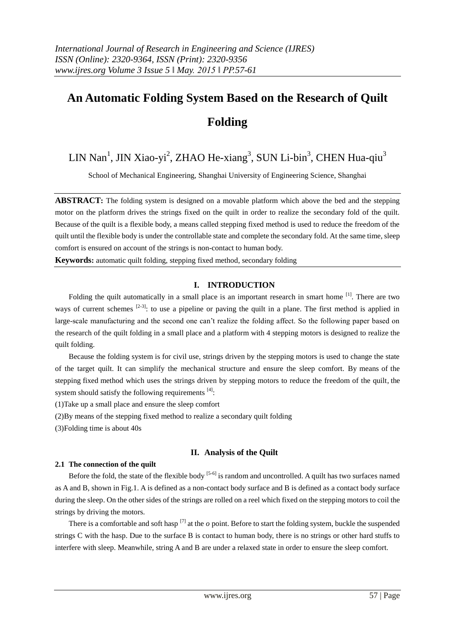# **An Automatic Folding System Based on the Research of Quilt Folding**

LIN Nan<sup>1</sup>, JIN Xiao-yi<sup>2</sup>, ZHAO He-xiang<sup>3</sup>, SUN Li-bin<sup>3</sup>, CHEN Hua-qiu<sup>3</sup>

School of Mechanical Engineering, Shanghai University of Engineering Science, Shanghai

**ABSTRACT:** The folding system is designed on a movable platform which above the bed and the stepping motor on the platform drives the strings fixed on the quilt in order to realize the secondary fold of the quilt. Because of the quilt is a flexible body, a means called stepping fixed method is used to reduce the freedom of the quilt until the flexible body is under the controllable state and complete the secondary fold. At the same time, sleep comfort is ensured on account of the strings is non-contact to human body.

**Keywords:** automatic quilt folding, stepping fixed method, secondary folding

# **I. INTRODUCTION**

Folding the quilt automatically in a small place is an important research in smart home <sup>[1]</sup>. There are two ways of current schemes  $[2-3]$ : to use a pipeline or paving the quilt in a plane. The first method is applied in large-scale manufacturing and the second one can't realize the folding affect. So the following paper based on the research of the quilt folding in a small place and a platform with 4 stepping motors is designed to realize the quilt folding.

Because the folding system is for civil use, strings driven by the stepping motors is used to change the state of the target quilt. It can simplify the mechanical structure and ensure the sleep comfort. By means of the stepping fixed method which uses the strings driven by stepping motors to reduce the freedom of the quilt, the system should satisfy the following requirements  $^{[4]}$ :

(1)Take up a small place and ensure the sleep comfort

(2)By means of the stepping fixed method to realize a secondary quilt folding

(3)Folding time is about 40s

# **II. Analysis of the Quilt**

# **2.1 The connection of the quilt**

Before the fold, the state of the flexible body  $[5-6]$  is random and uncontrolled. A quilt has two surfaces named as A and B, shown in Fig.1. A is defined as a non-contact body surface and B is defined as a contact body surface during the sleep. On the other sides of the strings are rolled on a reel which fixed on the stepping motors to coil the strings by driving the motors.

There is a comfortable and soft hasp  $^{[7]}$  at the  $o$  point. Before to start the folding system, buckle the suspended strings C with the hasp. Due to the surface B is contact to human body, there is no strings or other hard stuffs to interfere with sleep. Meanwhile, string A and B are under a relaxed state in order to ensure the sleep comfort.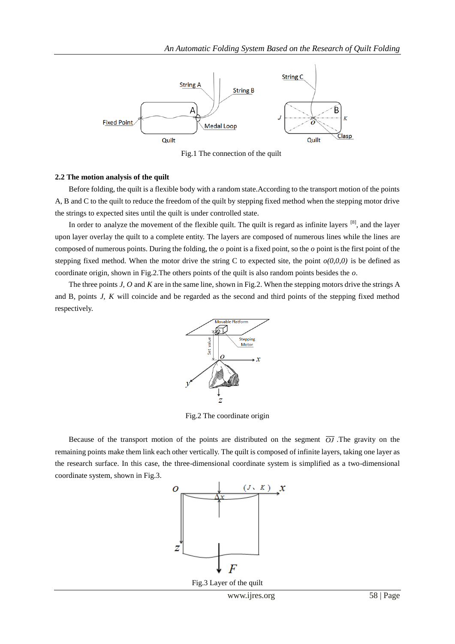

Fig.1 The connection of the quilt

## **2.2 The motion analysis of the quilt**

Before folding, the quilt is a flexible body with a random state.According to the transport motion of the points A, B and C to the quilt to reduce the freedom of the quilt by stepping fixed method when the stepping motor drive the strings to expected sites until the quilt is under controlled state.

In order to [analyze](http://dict.youdao.com/w/analyze/) the movement of the flexible quilt. The quilt is regard as infinite layers  $[8]$ , and the layer upon layer overlay the quilt to a complete entity. The layers are composed of numerous lines while the lines are composed of numerous points. During the folding, the *o* point is a fixed point, so the *o* point is the first point of the stepping fixed method. When the motor drive the string C to expected site, the point  $o(0,0,0)$  is be defined as coordinate origin, shown in Fig.2.The others points of the quilt is also random points besides the *o*.

The three points *J*, *O* and *K* are in the same line, shown in Fig.2. When the stepping motors drive the strings A and B, points *J*, *K* will coincide and be regarded as the second and third points of the stepping fixed method respectively.



Fig.2 The coordinate origin

Because of the transport motion of the points are distributed on the segment  $\overline{O}$ . The gravity on the remaining points make them link each other vertically. The quilt is composed of infinite layers, taking one layer as the research surface. In this case, the three-dimensional coordinate system is simplified as a two-dimensional coordinate system, shown in Fig.3.

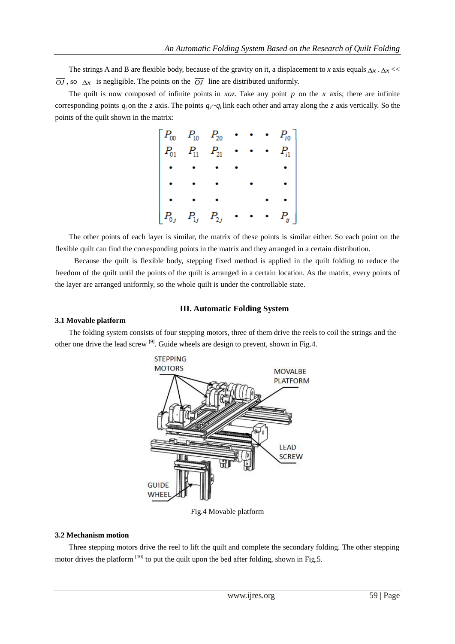The strings A and B are flexible body, because of the gravity on it, a displacement to *x* axis equals  $\Delta x \cdot \Delta x \ll$  $\overline{OJ}$ , so  $\Delta x$  is negligible. The points on the  $\overline{OJ}$  line are distributed uniformly.

The quilt is now composed of infinite points in  $xoz$ . Take any point  $p$  on the  $x$  axis; there are infinite corresponding points  $q_i$  on the *z* axis. The points  $q_i \sim q_i$  link each other and array along the *z* axis vertically. So the points of the quilt shown in the matrix:

| $\begin{bmatrix} P_{00} & P_{10} & P_{20} & \cdot & \cdot & \cdot & P_{i0} \\ P_{01} & P_{11} & P_{21} & \cdot & \cdot & \cdot & P_{i1} \\ \cdot & \cdot & \cdot & \cdot & \cdot & \cdot \end{bmatrix}$ |  |  |          |
|---------------------------------------------------------------------------------------------------------------------------------------------------------------------------------------------------------|--|--|----------|
|                                                                                                                                                                                                         |  |  |          |
|                                                                                                                                                                                                         |  |  |          |
|                                                                                                                                                                                                         |  |  |          |
| $\begin{bmatrix} P_{0j} & P_{1j} & P_{2j} \end{bmatrix}$                                                                                                                                                |  |  | $P_{ij}$ |

The other points of each layer is similar, the matrix of these points is similar either. So each point on the flexible quilt can find the corresponding points in the matrix and they arranged in a certain distribution.

Because the quilt is flexible body, stepping fixed method is applied in the quilt folding to reduce the freedom of the quilt until the points of the quilt is arranged in a certain location. As the matrix, every points of the layer are arranged uniformly, so the whole quilt is under the controllable state.

## **III. Automatic Folding System**

#### **3.1 Movable platform**

The folding system consists of four stepping motors, three of them drive the reels to coil the strings and the other one drive the lead screw  $^{[9]}$ . Guide wheels are design to prevent, shown in Fig.4.



Fig.4 Movable platform

### **3.2 Mechanism motion**

Three stepping motors drive the reel to lift the quilt and complete the secondary folding. The other stepping motor drives the platform  $\left[10\right]$  to put the quilt upon the bed after folding, shown in Fig.5.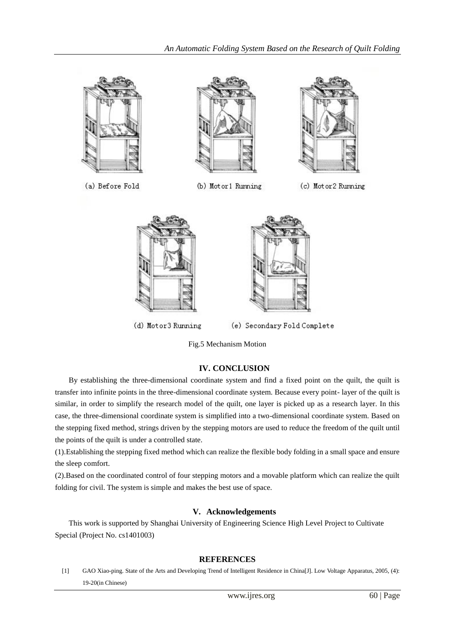

(a) Before Fold



(b) Motor1 Running



(c) Motor2 Running



(d) Motor3 Running



(e) Secondary Fold Complete

Fig.5 Mechanism Motion

# **IV. CONCLUSION**

By establishing the three-dimensional coordinate system and find a fixed point on the quilt, the quilt is transfer into infinite points in the three-dimensional coordinate system. Because every point- layer of the quilt is similar, in order to simplify the research model of the quilt, one layer is picked up as a research layer. In this case, the three-dimensional coordinate system is simplified into a two-dimensional coordinate system. Based on the stepping fixed method, strings driven by the stepping motors are used to reduce the freedom of the quilt until the points of the quilt is under a controlled state.

(1).Establishing the stepping fixed method which can realize the flexible body folding in a small space and ensure the sleep comfort.

(2).Based on the coordinated control of four stepping motors and a movable platform which can realize the quilt folding for civil. The system is simple and makes the best use of space.

# **V. Acknowledgements**

This work is supported by Shanghai University of Engineering Science High Level Project to Cultivate Special (Project No. cs1401003)

# **REFERENCES**

[1] GAO Xiao-ping. State of the Arts and Developing Trend of Intelligent Residence in China[J]. Low Voltage Apparatus, 2005, (4): 19-20(in Chinese)